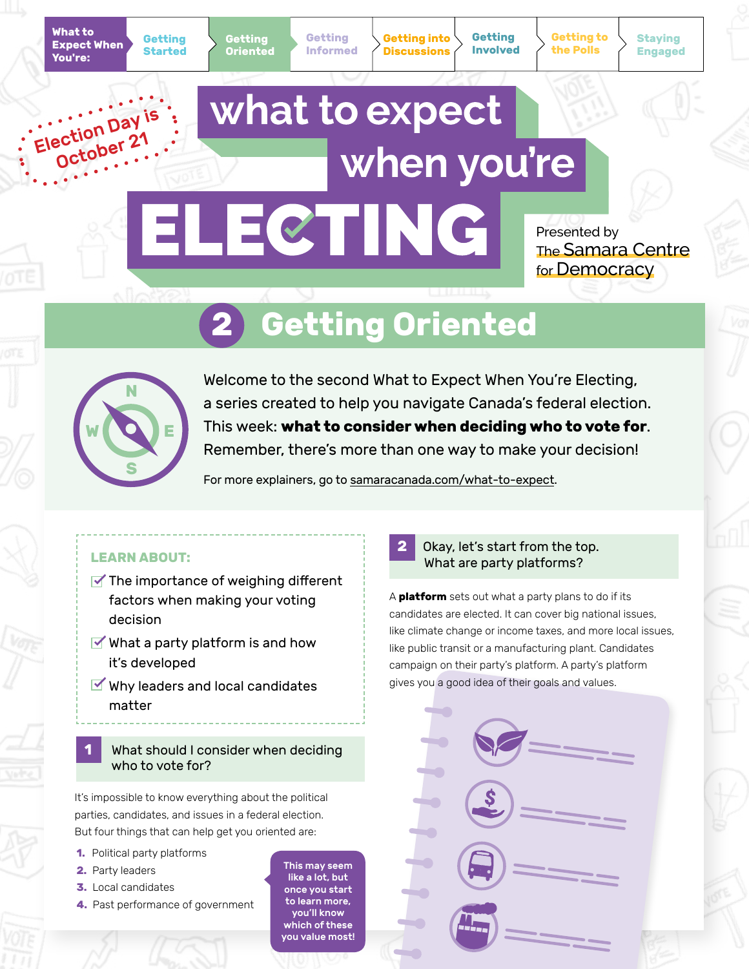Election Day

**Getting into Discussions**

**Getting Involved** **Getting to the Polls**

**Staying Engaged**

# what to expect October 21 when you're ELECTING

Presented by The Samara Centre for Democracy

# **2 Getting Oriented**



Welcome to the second What to Expect When You're Electing, a series created to help you navigate Canada's federal election. This week: **what to consider when deciding who to vote for**. Remember, there's more than one way to make your decision!

For more explainers, go to [samaracanada.com/what-to-expect](https://www.samaracanada.com/samara-in-the-classroom/what-to-expect-when-you).

- $\blacktriangleright$  The importance of weighing different factors when making your voting decision
- $\blacktriangleright$  What a party platform is and how it's developed
- $\blacktriangleright$  Why leaders and local candidates matter

# **1** What should I consider when deciding who to vote for?

It's impossible to know everything about the political parties, candidates, and issues in a federal election. But four things that can help get you oriented are:

- **1.** Political party platforms
- **2.** Party leaders
- **3.** Local candidates
- **4.** Past performance of government

This may seem like a lot, but once you start to learn more, you'll know which of these you value most!



A **platform** sets out what a party plans to do if its candidates are elected. It can cover big national issues, like climate change or income taxes, and more local issues, like public transit or a manufacturing plant. Candidates campaign on their party's platform. A party's platform gives you a good idea of their goals and values.